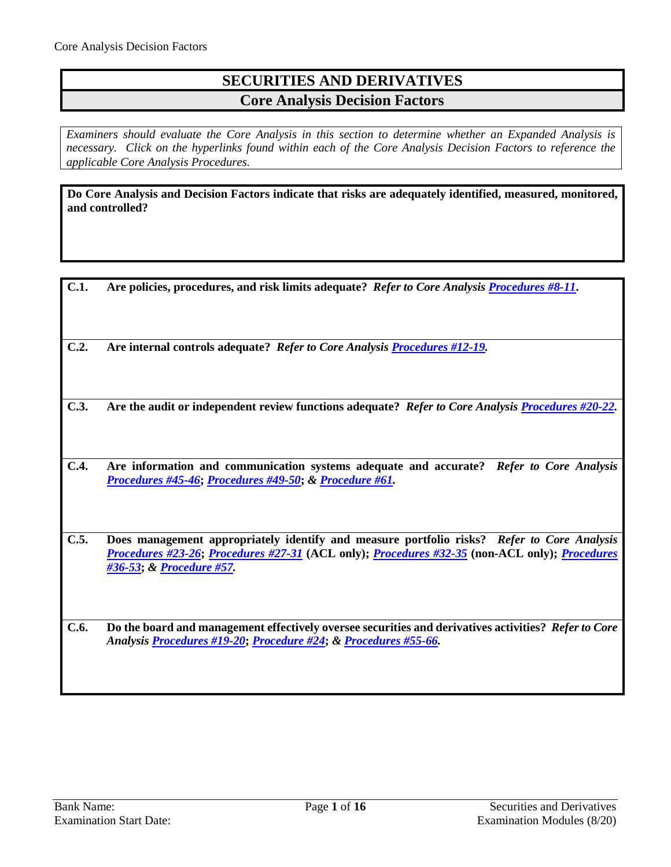## **SECURITIES AND DERIVATIVES Core Analysis Decision Factors**

*Examiners should evaluate the Core Analysis in this section to determine whether an Expanded Analysis is necessary. Click on the hyperlinks found within each of the Core Analysis Decision Factors to reference the applicable Core Analysis Procedures.*

**Do Core Analysis and Decision Factors indicate that risks are adequately identified, measured, monitored, and controlled?**

| C.1. | Are policies, procedures, and risk limits adequate? Refer to Core Analysis Procedures #8-11.                                                                                                                            |
|------|-------------------------------------------------------------------------------------------------------------------------------------------------------------------------------------------------------------------------|
| C.2. | Are internal controls adequate? Refer to Core Analysis Procedures #12-19.                                                                                                                                               |
| C.3. | Are the audit or independent review functions adequate? Refer to Core Analysis Procedures #20-22.                                                                                                                       |
| C.4. | Are information and communication systems adequate and accurate?<br><b>Refer to Core Analysis</b><br>Procedures #45-46; Procedures #49-50; & Procedure #61.                                                             |
| C.5. | Does management appropriately identify and measure portfolio risks? Refer to Core Analysis<br>Procedures #23-26; Procedures #27-31 (ACL only); Procedures #32-35 (non-ACL only); Procedures<br>#36-53; & Procedure #57. |
| C.6. | Do the board and management effectively oversee securities and derivatives activities? Refer to Core<br>Analysis Procedures #19-20; Procedure #24; & Procedures #55-66.                                                 |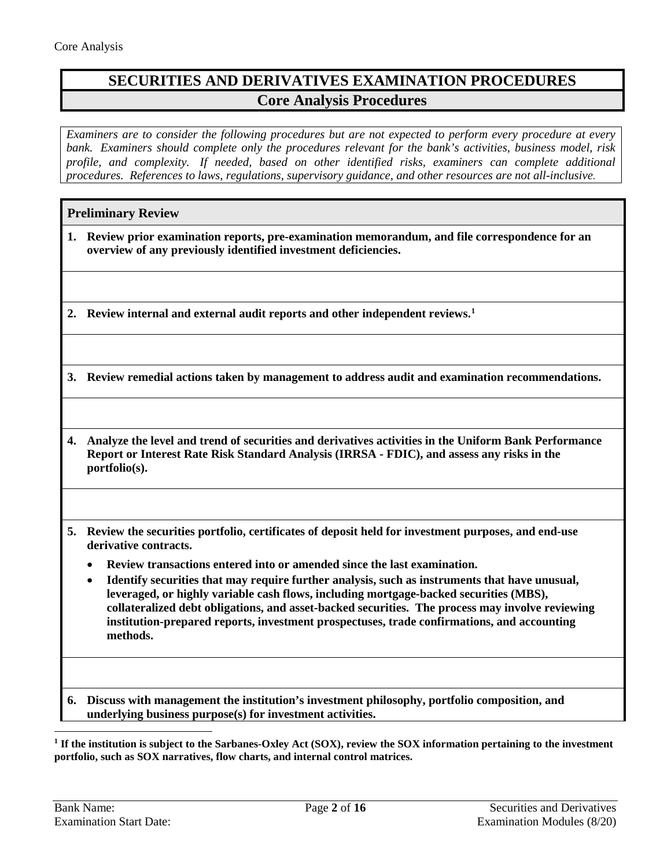# **SECURITIES AND DERIVATIVES EXAMINATION PROCEDURES Core Analysis Procedures**

*Examiners are to consider the following procedures but are not expected to perform every procedure at every bank. Examiners should complete only the procedures relevant for the bank's activities, business model, risk profile, and complexity. If needed, based on other identified risks, examiners can complete additional procedures. References to laws, regulations, supervisory guidance, and other resources are not all-inclusive.*

|    | <b>Preliminary Review</b>                                                                                                                                                                                                                                                                                                                                                                                        |  |  |
|----|------------------------------------------------------------------------------------------------------------------------------------------------------------------------------------------------------------------------------------------------------------------------------------------------------------------------------------------------------------------------------------------------------------------|--|--|
| 1. | Review prior examination reports, pre-examination memorandum, and file correspondence for an<br>overview of any previously identified investment deficiencies.                                                                                                                                                                                                                                                   |  |  |
|    |                                                                                                                                                                                                                                                                                                                                                                                                                  |  |  |
|    | Review internal and external audit reports and other independent reviews. <sup>1</sup>                                                                                                                                                                                                                                                                                                                           |  |  |
|    |                                                                                                                                                                                                                                                                                                                                                                                                                  |  |  |
|    | 3. Review remedial actions taken by management to address audit and examination recommendations.                                                                                                                                                                                                                                                                                                                 |  |  |
|    |                                                                                                                                                                                                                                                                                                                                                                                                                  |  |  |
| 4. | Analyze the level and trend of securities and derivatives activities in the Uniform Bank Performance<br>Report or Interest Rate Risk Standard Analysis (IRRSA - FDIC), and assess any risks in the<br>portfolio(s).                                                                                                                                                                                              |  |  |
|    |                                                                                                                                                                                                                                                                                                                                                                                                                  |  |  |
| 5. | Review the securities portfolio, certificates of deposit held for investment purposes, and end-use<br>derivative contracts.                                                                                                                                                                                                                                                                                      |  |  |
|    | Review transactions entered into or amended since the last examination.                                                                                                                                                                                                                                                                                                                                          |  |  |
|    | Identify securities that may require further analysis, such as instruments that have unusual,<br>$\bullet$<br>leveraged, or highly variable cash flows, including mortgage-backed securities (MBS),<br>collateralized debt obligations, and asset-backed securities. The process may involve reviewing<br>institution-prepared reports, investment prospectuses, trade confirmations, and accounting<br>methods. |  |  |
|    |                                                                                                                                                                                                                                                                                                                                                                                                                  |  |  |
| 6. | Discuss with management the institution's investment philosophy, portfolio composition, and<br>underlying business purpose(s) for investment activities.                                                                                                                                                                                                                                                         |  |  |

<span id="page-1-0"></span> $\overline{a}$ **<sup>1</sup> If the institution is subject to the Sarbanes-Oxley Act (SOX), review the SOX information pertaining to the investment portfolio, such as SOX narratives, flow charts, and internal control matrices.**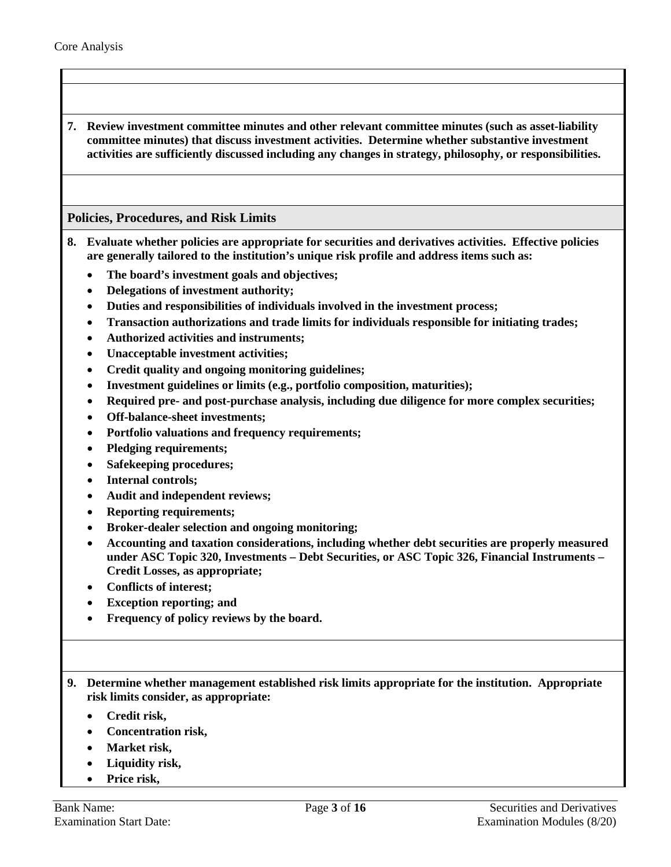**7. Review investment committee minutes and other relevant committee minutes (such as asset-liability committee minutes) that discuss investment activities. Determine whether substantive investment activities are sufficiently discussed including any changes in strategy, philosophy, or responsibilities.**

## **Policies, Procedures, and Risk Limits**

- <span id="page-2-0"></span>**8. Evaluate whether policies are appropriate for securities and derivatives activities. Effective policies are generally tailored to the institution's unique risk profile and address items such as:** 
	- **The board's investment goals and objectives;**
	- **Delegations of investment authority;**
	- **Duties and responsibilities of individuals involved in the investment process;**
	- **Transaction authorizations and trade limits for individuals responsible for initiating trades;**
	- **Authorized activities and instruments;**
	- **Unacceptable investment activities;**
	- **Credit quality and ongoing monitoring guidelines;**
	- **Investment guidelines or limits (e.g., portfolio composition, maturities);**
	- **Required pre- and post-purchase analysis, including due diligence for more complex securities;**
	- **Off-balance-sheet investments;**
	- **Portfolio valuations and frequency requirements;**
	- **Pledging requirements;**
	- **Safekeeping procedures;**
	- **Internal controls;**
	- **Audit and independent reviews;**
	- **Reporting requirements;**
	- **Broker-dealer selection and ongoing monitoring;**
	- **Accounting and taxation considerations, including whether debt securities are properly measured under ASC Topic 320, Investments – Debt Securities, or ASC Topic 326, Financial Instruments – Credit Losses, as appropriate;**
	- **Conflicts of interest;**
	- **Exception reporting; and**
	- **Frequency of policy reviews by the board.**

**9. Determine whether management established risk limits appropriate for the institution. Appropriate risk limits consider, as appropriate:** 

- **Credit risk,**
- **Concentration risk,**
- **Market risk,**
- **Liquidity risk,**
- **Price risk,**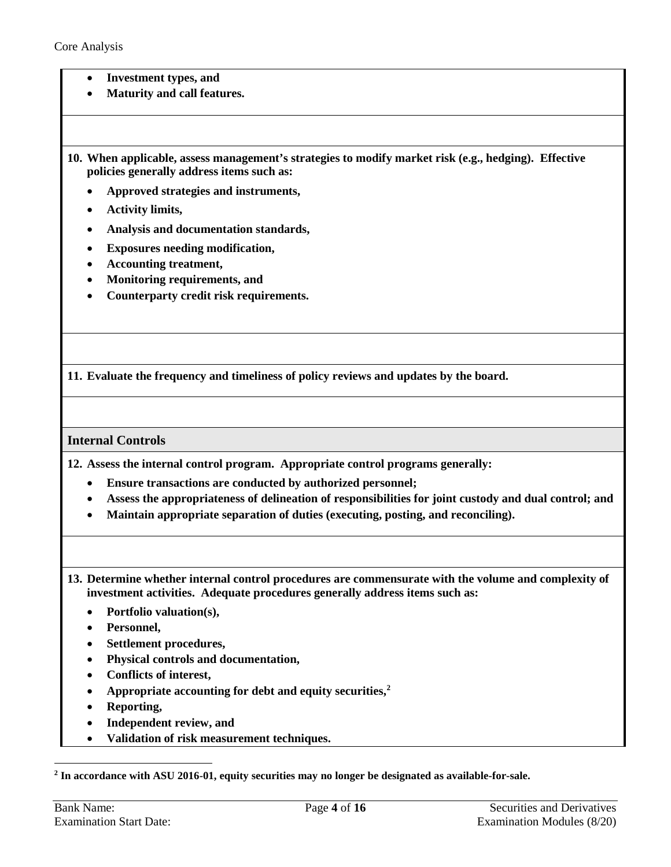- **Investment types, and**
- **Maturity and call features.**

**10. When applicable, assess management's strategies to modify market risk (e.g., hedging). Effective policies generally address items such as:** 

- **Approved strategies and instruments,**
- **Activity limits,**
- **Analysis and documentation standards,**
- **Exposures needing modification,**
- **Accounting treatment,**
- **Monitoring requirements, and**
- **Counterparty credit risk requirements.**

**11. Evaluate the frequency and timeliness of policy reviews and updates by the board.** 

#### **Internal Controls**

<span id="page-3-0"></span>**12. Assess the internal control program. Appropriate control programs generally:** 

- **Ensure transactions are conducted by authorized personnel;**
- **Assess the appropriateness of delineation of responsibilities for joint custody and dual control; and**
- **Maintain appropriate separation of duties (executing, posting, and reconciling).**
- **13. Determine whether internal control procedures are commensurate with the volume and complexity of investment activities. Adequate procedures generally address items such as:** 
	- **Portfolio valuation(s),**
	- **Personnel,**
	- **Settlement procedures,**
	- **Physical controls and documentation,**
	- **Conflicts of interest,**
	- **Appropriate accounting for debt and equity securities, [2](#page-3-1)**
	- **Reporting,**
	- **Independent review, and**
	- **Validation of risk measurement techniques.**

 $\overline{a}$ 

<span id="page-3-1"></span>**<sup>2</sup> In accordance with ASU 2016-01, equity securities may no longer be designated as available-for-sale.**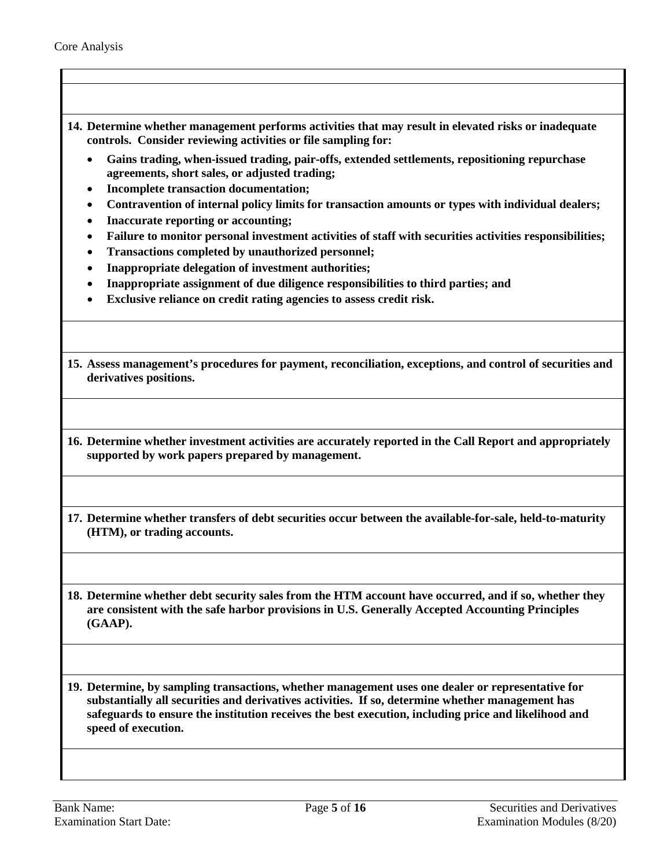**14. Determine whether management performs activities that may result in elevated risks or inadequate controls. Consider reviewing activities or file sampling for:** 

- **Gains trading, when-issued trading, pair-offs, extended settlements, repositioning repurchase agreements, short sales, or adjusted trading;**
- **Incomplete transaction documentation;**
- **Contravention of internal policy limits for transaction amounts or types with individual dealers;**
- **Inaccurate reporting or accounting;**
- **Failure to monitor personal investment activities of staff with securities activities responsibilities;**
- **Transactions completed by unauthorized personnel;**
- **Inappropriate delegation of investment authorities;**
- **Inappropriate assignment of due diligence responsibilities to third parties; and**
- **Exclusive reliance on credit rating agencies to assess credit risk.**

**15. Assess management's procedures for payment, reconciliation, exceptions, and control of securities and derivatives positions.**

**16. Determine whether investment activities are accurately reported in the Call Report and appropriately supported by work papers prepared by management.** 

**17. Determine whether transfers of debt securities occur between the available-for-sale, held-to-maturity (HTM), or trading accounts.** 

**18. Determine whether debt security sales from the HTM account have occurred, and if so, whether they are consistent with the safe harbor provisions in U.S. Generally Accepted Accounting Principles (GAAP).** 

<span id="page-4-0"></span>**19. Determine, by sampling transactions, whether management uses one dealer or representative for substantially all securities and derivatives activities. If so, determine whether management has safeguards to ensure the institution receives the best execution, including price and likelihood and speed of execution.**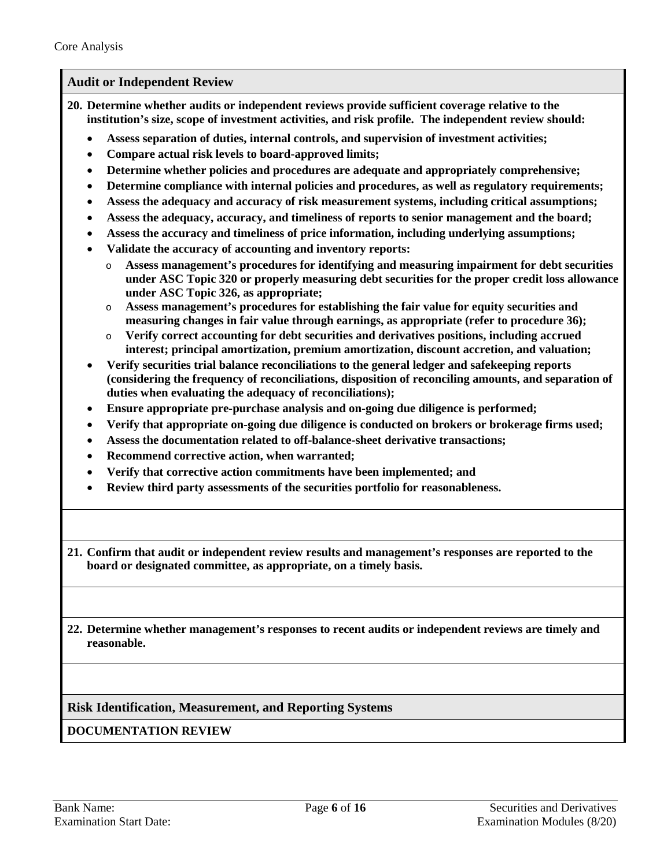### **Audit or Independent Review**

- <span id="page-5-0"></span>**20. Determine whether audits or independent reviews provide sufficient coverage relative to the institution's size, scope of investment activities, and risk profile. The independent review should:**
	- **Assess separation of duties, internal controls, and supervision of investment activities;**
	- **Compare actual risk levels to board-approved limits;**
	- **Determine whether policies and procedures are adequate and appropriately comprehensive;**
	- **Determine compliance with internal policies and procedures, as well as regulatory requirements;**
	- **Assess the adequacy and accuracy of risk measurement systems, including critical assumptions;**
	- **Assess the adequacy, accuracy, and timeliness of reports to senior management and the board;**
	- **Assess the accuracy and timeliness of price information, including underlying assumptions;**
	- **Validate the accuracy of accounting and inventory reports:** 
		- o **Assess management's procedures for identifying and measuring impairment for debt securities under ASC Topic 320 or properly measuring debt securities for the proper credit loss allowance under ASC Topic 326, as appropriate;**
		- o **Assess management's procedures for establishing the fair value for equity securities and measuring changes in fair value through earnings, as appropriate (refer to procedure 36);**
		- o **Verify correct accounting for debt securities and derivatives positions, including accrued interest; principal amortization, premium amortization, discount accretion, and valuation;**
	- **Verify securities trial balance reconciliations to the general ledger and safekeeping reports (considering the frequency of reconciliations, disposition of reconciling amounts, and separation of duties when evaluating the adequacy of reconciliations);**
	- **Ensure appropriate pre-purchase analysis and on-going due diligence is performed;**
	- **Verify that appropriate on-going due diligence is conducted on brokers or brokerage firms used;**
	- **Assess the documentation related to off-balance-sheet derivative transactions;**
	- **Recommend corrective action, when warranted;**
	- **Verify that corrective action commitments have been implemented; and**
	- **Review third party assessments of the securities portfolio for reasonableness.**
- **21. Confirm that audit or independent review results and management's responses are reported to the board or designated committee, as appropriate, on a timely basis.**
- **22. Determine whether management's responses to recent audits or independent reviews are timely and reasonable.**

**Risk Identification, Measurement, and Reporting Systems**

**DOCUMENTATION REVIEW**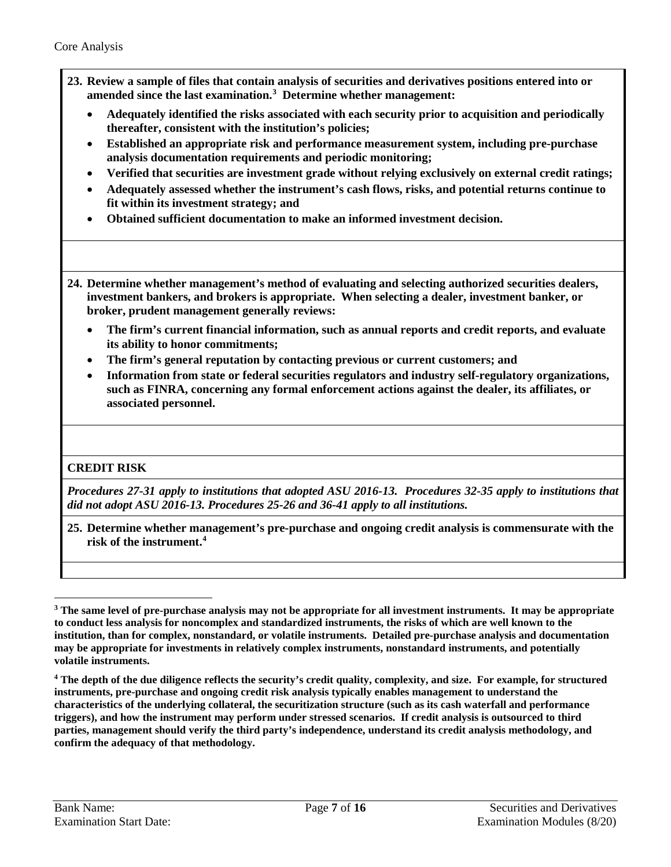- <span id="page-6-0"></span>**23. Review a sample of files that contain analysis of securities and derivatives positions entered into or amended since the last examination.[3](#page-6-2) Determine whether management:**
	- **Adequately identified the risks associated with each security prior to acquisition and periodically thereafter, consistent with the institution's policies;**
	- **Established an appropriate risk and performance measurement system, including pre-purchase analysis documentation requirements and periodic monitoring;**
	- **Verified that securities are investment grade without relying exclusively on external credit ratings;**
	- **Adequately assessed whether the instrument's cash flows, risks, and potential returns continue to fit within its investment strategy; and**
	- **Obtained sufficient documentation to make an informed investment decision.**
- <span id="page-6-1"></span>**24. Determine whether management's method of evaluating and selecting authorized securities dealers, investment bankers, and brokers is appropriate. When selecting a dealer, investment banker, or broker, prudent management generally reviews:** 
	- **The firm's current financial information, such as annual reports and credit reports, and evaluate its ability to honor commitments;**
	- **The firm's general reputation by contacting previous or current customers; and**
	- **Information from state or federal securities regulators and industry self-regulatory organizations, such as FINRA, concerning any formal enforcement actions against the dealer, its affiliates, or associated personnel.**

## **CREDIT RISK**

 $\overline{a}$ 

*Procedures 27-31 apply to institutions that adopted ASU 2016-13. Procedures 32-35 apply to institutions that did not adopt ASU 2016-13. Procedures 25-26 and 36-41 apply to all institutions.*

**25. Determine whether management's pre-purchase and ongoing credit analysis is commensurate with the risk of the instrument.[4](#page-6-3)** 

<span id="page-6-2"></span>**<sup>3</sup> The same level of pre-purchase analysis may not be appropriate for all investment instruments. It may be appropriate to conduct less analysis for noncomplex and standardized instruments, the risks of which are well known to the institution, than for complex, nonstandard, or volatile instruments. Detailed pre-purchase analysis and documentation may be appropriate for investments in relatively complex instruments, nonstandard instruments, and potentially volatile instruments.** 

<span id="page-6-3"></span>**<sup>4</sup> The depth of the due diligence reflects the security's credit quality, complexity, and size. For example, for structured instruments, pre-purchase and ongoing credit risk analysis typically enables management to understand the characteristics of the underlying collateral, the securitization structure (such as its cash waterfall and performance triggers), and how the instrument may perform under stressed scenarios. If credit analysis is outsourced to third parties, management should verify the third party's independence, understand its credit analysis methodology, and confirm the adequacy of that methodology.**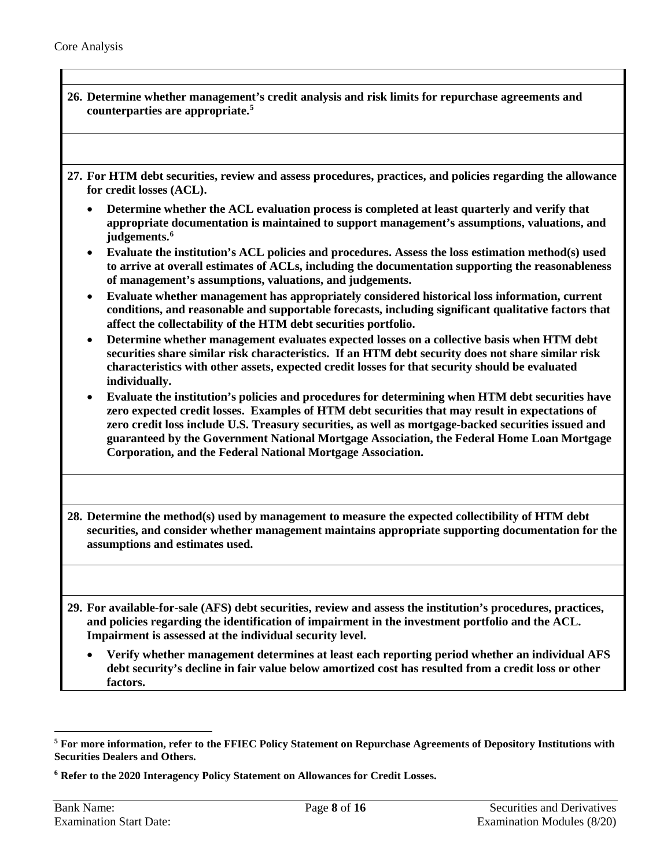<span id="page-7-0"></span>

| 26. Determine whether management's credit analysis and risk limits for repurchase agreements and<br>counterparties are appropriate. <sup>5</sup>                                                                                                                                                                                                                                                                                                                                     |
|--------------------------------------------------------------------------------------------------------------------------------------------------------------------------------------------------------------------------------------------------------------------------------------------------------------------------------------------------------------------------------------------------------------------------------------------------------------------------------------|
| 27. For HTM debt securities, review and assess procedures, practices, and policies regarding the allowance<br>for credit losses (ACL).                                                                                                                                                                                                                                                                                                                                               |
| Determine whether the ACL evaluation process is completed at least quarterly and verify that<br>appropriate documentation is maintained to support management's assumptions, valuations, and<br>judgements. <sup>6</sup>                                                                                                                                                                                                                                                             |
| Evaluate the institution's ACL policies and procedures. Assess the loss estimation method(s) used<br>to arrive at overall estimates of ACLs, including the documentation supporting the reasonableness<br>of management's assumptions, valuations, and judgements.                                                                                                                                                                                                                   |
| Evaluate whether management has appropriately considered historical loss information, current<br>conditions, and reasonable and supportable forecasts, including significant qualitative factors that<br>affect the collectability of the HTM debt securities portfolio.                                                                                                                                                                                                             |
| Determine whether management evaluates expected losses on a collective basis when HTM debt<br>$\bullet$<br>securities share similar risk characteristics. If an HTM debt security does not share similar risk<br>characteristics with other assets, expected credit losses for that security should be evaluated<br>individually.                                                                                                                                                    |
| Evaluate the institution's policies and procedures for determining when HTM debt securities have<br>$\bullet$<br>zero expected credit losses. Examples of HTM debt securities that may result in expectations of<br>zero credit loss include U.S. Treasury securities, as well as mortgage-backed securities issued and<br>guaranteed by the Government National Mortgage Association, the Federal Home Loan Mortgage<br>Corporation, and the Federal National Mortgage Association. |
| 28. Determine the method(s) used by management to measure the expected collectibility of HTM debt<br>securities, and consider whether management maintains appropriate supporting documentation for the<br>assumptions and estimates used.                                                                                                                                                                                                                                           |
|                                                                                                                                                                                                                                                                                                                                                                                                                                                                                      |
| 29. For available-for-sale (AFS) debt securities, review and assess the institution's procedures, practices,<br>and policies regarding the identification of impairment in the investment portfolio and the ACL.<br>Impairment is assessed at the individual security level.                                                                                                                                                                                                         |
| Verify whether management determines at least each reporting period whether an individual AFS<br>debt security's decline in fair value below amortized cost has resulted from a credit loss or other<br>factors.                                                                                                                                                                                                                                                                     |

<span id="page-7-1"></span> $\overline{a}$ **<sup>5</sup> For more information, refer to the FFIEC Policy Statement on Repurchase Agreements of Depository Institutions with Securities Dealers and Others.**

<span id="page-7-2"></span>**<sup>6</sup> Refer to the 2020 Interagency Policy Statement on Allowances for Credit Losses.**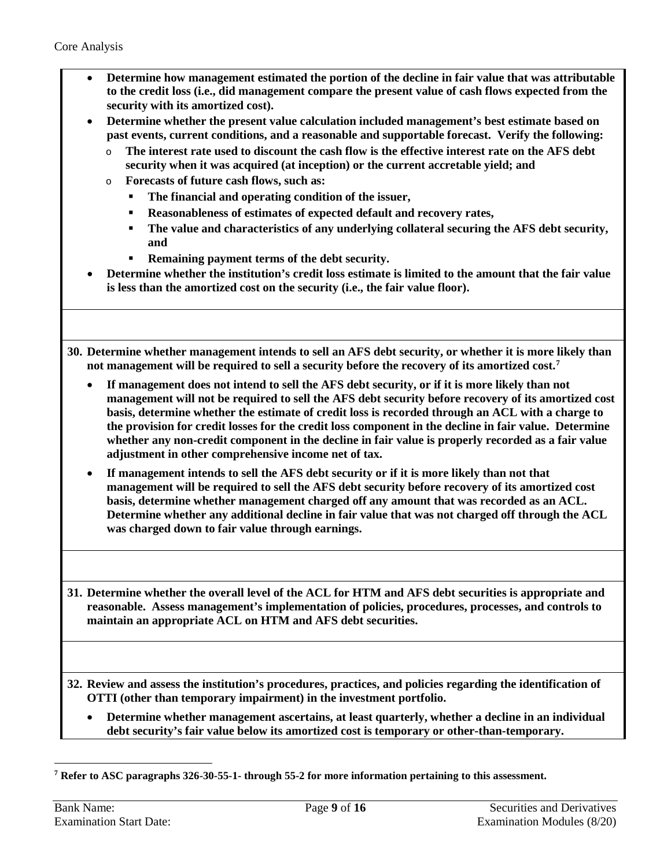- **Determine how management estimated the portion of the decline in fair value that was attributable to the credit loss (i.e., did management compare the present value of cash flows expected from the security with its amortized cost).**
- **Determine whether the present value calculation included management's best estimate based on past events, current conditions, and a reasonable and supportable forecast. Verify the following:** 
	- o **The interest rate used to discount the cash flow is the effective interest rate on the AFS debt security when it was acquired (at inception) or the current accretable yield; and**
	- o **Forecasts of future cash flows, such as:**
		- **The financial and operating condition of the issuer,**
		- **Reasonableness of estimates of expected default and recovery rates,**
		- **The value and characteristics of any underlying collateral securing the AFS debt security, and**
		- **Remaining payment terms of the debt security.**
- **Determine whether the institution's credit loss estimate is limited to the amount that the fair value is less than the amortized cost on the security (i.e., the fair value floor).**
- **30. Determine whether management intends to sell an AFS debt security, or whether it is more likely than not management will be required to sell a security before the recovery of its amortized cost. [7](#page-8-1)**
	- **If management does not intend to sell the AFS debt security, or if it is more likely than not management will not be required to sell the AFS debt security before recovery of its amortized cost basis, determine whether the estimate of credit loss is recorded through an ACL with a charge to the provision for credit losses for the credit loss component in the decline in fair value. Determine whether any non-credit component in the decline in fair value is properly recorded as a fair value adjustment in other comprehensive income net of tax.**
	- **If management intends to sell the AFS debt security or if it is more likely than not that management will be required to sell the AFS debt security before recovery of its amortized cost basis, determine whether management charged off any amount that was recorded as an ACL. Determine whether any additional decline in fair value that was not charged off through the ACL was charged down to fair value through earnings.**

**31. Determine whether the overall level of the ACL for HTM and AFS debt securities is appropriate and reasonable. Assess management's implementation of policies, procedures, processes, and controls to maintain an appropriate ACL on HTM and AFS debt securities.** 

<span id="page-8-0"></span>**32. Review and assess the institution's procedures, practices, and policies regarding the identification of OTTI (other than temporary impairment) in the investment portfolio.** 

• **Determine whether management ascertains, at least quarterly, whether a decline in an individual debt security's fair value below its amortized cost is temporary or other-than-temporary.** 

<span id="page-8-1"></span> $\overline{a}$ **<sup>7</sup> Refer to ASC paragraphs 326-30-55-1- through 55-2 for more information pertaining to this assessment.**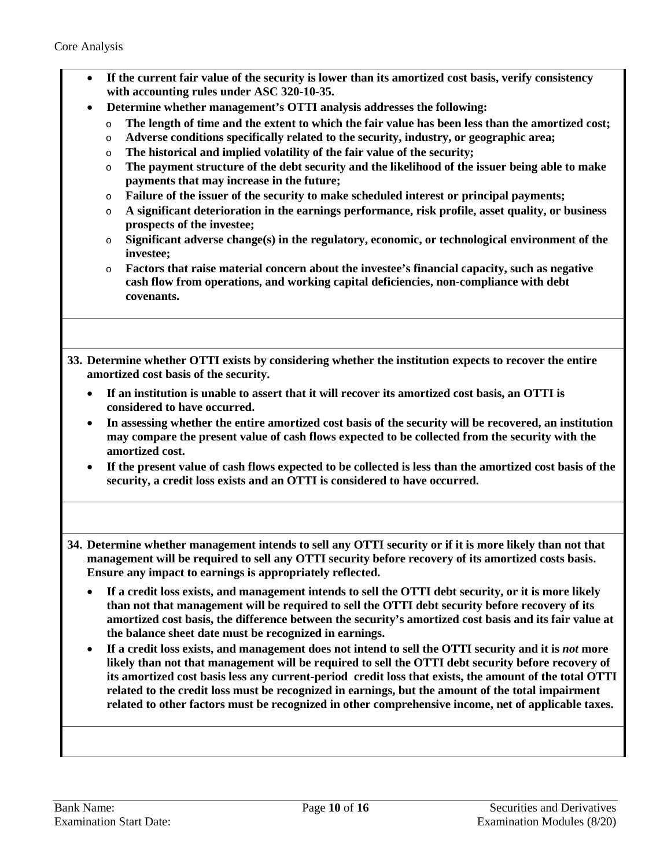| If the current fair value of the security is lower than its amortized cost basis, verify consistency<br>$\bullet$<br>with accounting rules under ASC 320-10-35.<br>Determine whether management's OTTI analysis addresses the following:<br>$\bullet$<br>The length of time and the extent to which the fair value has been less than the amortized cost;<br>$\circ$<br>Adverse conditions specifically related to the security, industry, or geographic area;<br>$\circ$<br>The historical and implied volatility of the fair value of the security;<br>$\circ$<br>The payment structure of the debt security and the likelihood of the issuer being able to make<br>$\circ$<br>payments that may increase in the future;<br>Failure of the issuer of the security to make scheduled interest or principal payments;<br>$\circ$<br>A significant deterioration in the earnings performance, risk profile, asset quality, or business<br>$\circ$<br>prospects of the investee;<br>Significant adverse change(s) in the regulatory, economic, or technological environment of the<br>O<br>investee;<br>Factors that raise material concern about the investee's financial capacity, such as negative<br>$\circ$<br>cash flow from operations, and working capital deficiencies, non-compliance with debt<br>covenants. |
|-----------------------------------------------------------------------------------------------------------------------------------------------------------------------------------------------------------------------------------------------------------------------------------------------------------------------------------------------------------------------------------------------------------------------------------------------------------------------------------------------------------------------------------------------------------------------------------------------------------------------------------------------------------------------------------------------------------------------------------------------------------------------------------------------------------------------------------------------------------------------------------------------------------------------------------------------------------------------------------------------------------------------------------------------------------------------------------------------------------------------------------------------------------------------------------------------------------------------------------------------------------------------------------------------------------------------|
| 33. Determine whether OTTI exists by considering whether the institution expects to recover the entire<br>amortized cost basis of the security.<br>If an institution is unable to assert that it will recover its amortized cost basis, an OTTI is<br>٠<br>considered to have occurred.<br>In assessing whether the entire amortized cost basis of the security will be recovered, an institution<br>٠<br>may compare the present value of cash flows expected to be collected from the security with the<br>amortized cost.<br>If the present value of cash flows expected to be collected is less than the amortized cost basis of the<br>$\bullet$<br>security, a credit loss exists and an OTTI is considered to have occurred.                                                                                                                                                                                                                                                                                                                                                                                                                                                                                                                                                                                   |
| 34. Determine whether management intends to sell any OTTI security or if it is more likely than not that<br>management will be required to sell any OTTI security before recovery of its amortized costs basis.<br>Ensure any impact to earnings is appropriately reflected.<br>If a credit loss exists, and management intends to sell the OTTI debt security, or it is more likely<br>$\bullet$<br>than not that management will be required to sell the OTTI debt security before recovery of its<br>amortized cost basis, the difference between the security's amortized cost basis and its fair value at<br>the balance sheet date must be recognized in earnings.<br>If a credit loss exists, and management does not intend to sell the OTTI security and it is not more<br>٠<br>likely than not that management will be required to sell the OTTI debt security before recovery of<br>its amortized cost basis less any current-period credit loss that exists, the amount of the total OTTI<br>related to the credit loss must be recognized in earnings, but the amount of the total impairment<br>related to other factors must be recognized in other comprehensive income, net of applicable taxes.                                                                                                     |
|                                                                                                                                                                                                                                                                                                                                                                                                                                                                                                                                                                                                                                                                                                                                                                                                                                                                                                                                                                                                                                                                                                                                                                                                                                                                                                                       |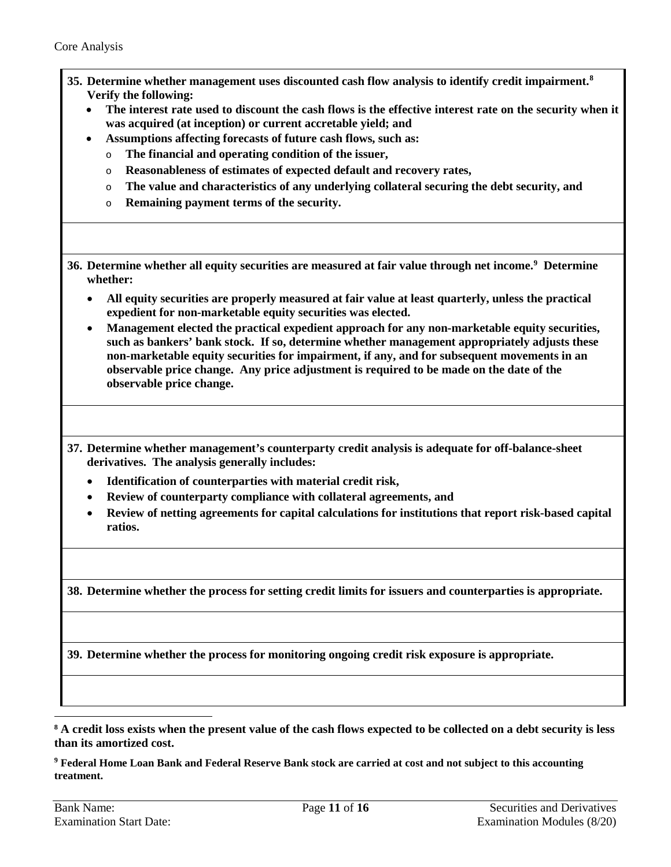- **35. Determine whether management uses discounted cash flow analysis to identify credit impairment.[8](#page-10-1) Verify the following:** 
	- **The interest rate used to discount the cash flows is the effective interest rate on the security when it was acquired (at inception) or current accretable yield; and**
		- **Assumptions affecting forecasts of future cash flows, such as:**
		- o **The financial and operating condition of the issuer,**
		- o **Reasonableness of estimates of expected default and recovery rates,**
		- o **The value and characteristics of any underlying collateral securing the debt security, and**
		- o **Remaining payment terms of the security.**
- <span id="page-10-0"></span>**36. Determine whether all equity securities are measured at fair value through net income.[9](#page-10-2) Determine whether:**
	- **All equity securities are properly measured at fair value at least quarterly, unless the practical expedient for non-marketable equity securities was elected.**
	- **Management elected the practical expedient approach for any non-marketable equity securities, such as bankers' bank stock. If so, determine whether management appropriately adjusts these non-marketable equity securities for impairment, if any, and for subsequent movements in an observable price change. Any price adjustment is required to be made on the date of the observable price change.**
- **37. Determine whether management's counterparty credit analysis is adequate for off-balance-sheet derivatives. The analysis generally includes:**
	- **Identification of counterparties with material credit risk,**
	- **Review of counterparty compliance with collateral agreements, and**
	- **Review of netting agreements for capital calculations for institutions that report risk-based capital ratios.**

**38. Determine whether the process for setting credit limits for issuers and counterparties is appropriate.**

**39. Determine whether the process for monitoring ongoing credit risk exposure is appropriate.**

<span id="page-10-1"></span>**<sup>8</sup> A credit loss exists when the present value of the cash flows expected to be collected on a debt security is less than its amortized cost.**

<span id="page-10-2"></span>**<sup>9</sup> Federal Home Loan Bank and Federal Reserve Bank stock are carried at cost and not subject to this accounting treatment.**

 $\overline{a}$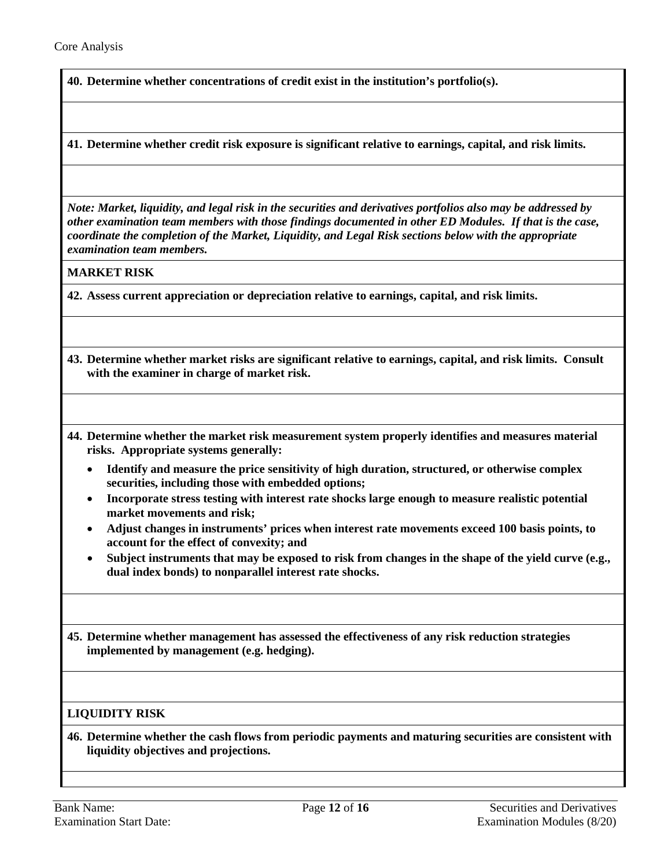**40. Determine whether concentrations of credit exist in the institution's portfolio(s).**

**41. Determine whether credit risk exposure is significant relative to earnings, capital, and risk limits.**

*Note: Market, liquidity, and legal risk in the securities and derivatives portfolios also may be addressed by other examination team members with those findings documented in other ED Modules. If that is the case, coordinate the completion of the Market, Liquidity, and Legal Risk sections below with the appropriate examination team members.* 

**MARKET RISK**

**42. Assess current appreciation or depreciation relative to earnings, capital, and risk limits.** 

- **43. Determine whether market risks are significant relative to earnings, capital, and risk limits. Consult with the examiner in charge of market risk.**
- **44. Determine whether the market risk measurement system properly identifies and measures material risks. Appropriate systems generally:** 
	- **Identify and measure the price sensitivity of high duration, structured, or otherwise complex securities, including those with embedded options;**
	- **Incorporate stress testing with interest rate shocks large enough to measure realistic potential market movements and risk;**
	- **Adjust changes in instruments' prices when interest rate movements exceed 100 basis points, to account for the effect of convexity; and**
	- **Subject instruments that may be exposed to risk from changes in the shape of the yield curve (e.g., dual index bonds) to nonparallel interest rate shocks.**

<span id="page-11-0"></span>**45. Determine whether management has assessed the effectiveness of any risk reduction strategies implemented by management (e.g. hedging).** 

## **LIQUIDITY RISK**

**46. Determine whether the cash flows from periodic payments and maturing securities are consistent with liquidity objectives and projections.**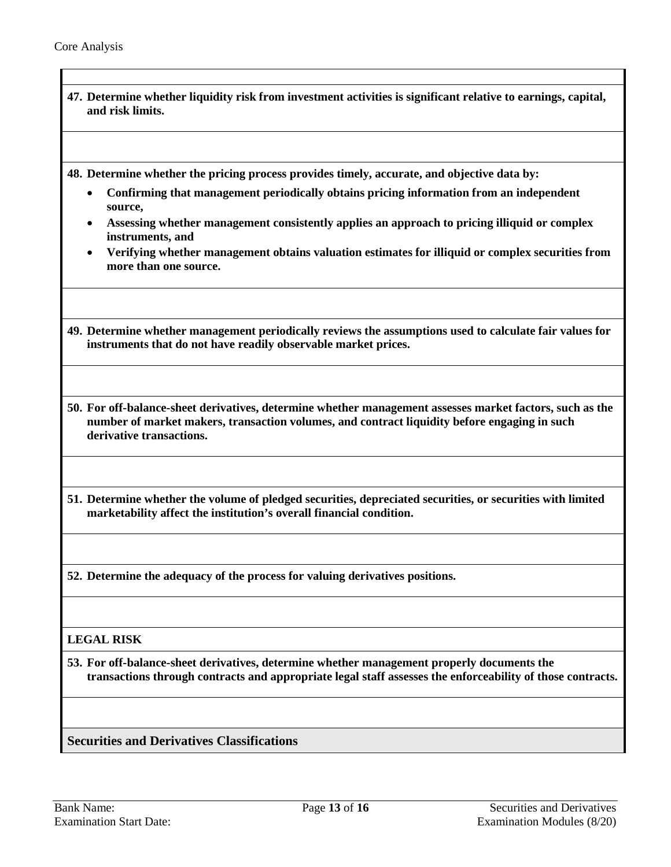<span id="page-12-0"></span>

| 47. Determine whether liquidity risk from investment activities is significant relative to earnings, capital,<br>and risk limits.                                                                                                    |
|--------------------------------------------------------------------------------------------------------------------------------------------------------------------------------------------------------------------------------------|
| 48. Determine whether the pricing process provides timely, accurate, and objective data by:<br>Confirming that management periodically obtains pricing information from an independent                                               |
| source,<br>Assessing whether management consistently applies an approach to pricing illiquid or complex                                                                                                                              |
| instruments, and<br>Verifying whether management obtains valuation estimates for illiquid or complex securities from<br>more than one source.                                                                                        |
| 49. Determine whether management periodically reviews the assumptions used to calculate fair values for<br>instruments that do not have readily observable market prices.                                                            |
| 50. For off-balance-sheet derivatives, determine whether management assesses market factors, such as the<br>number of market makers, transaction volumes, and contract liquidity before engaging in such<br>derivative transactions. |
| 51. Determine whether the volume of pledged securities, depreciated securities, or securities with limited<br>marketability affect the institution's overall financial condition.                                                    |
| 52. Determine the adequacy of the process for valuing derivatives positions.                                                                                                                                                         |
| <b>LEGAL RISK</b>                                                                                                                                                                                                                    |
| 53. For off-balance-sheet derivatives, determine whether management properly documents the<br>transactions through contracts and appropriate legal staff assesses the enforceability of those contracts.                             |
| <b>Securities and Derivatives Classifications</b>                                                                                                                                                                                    |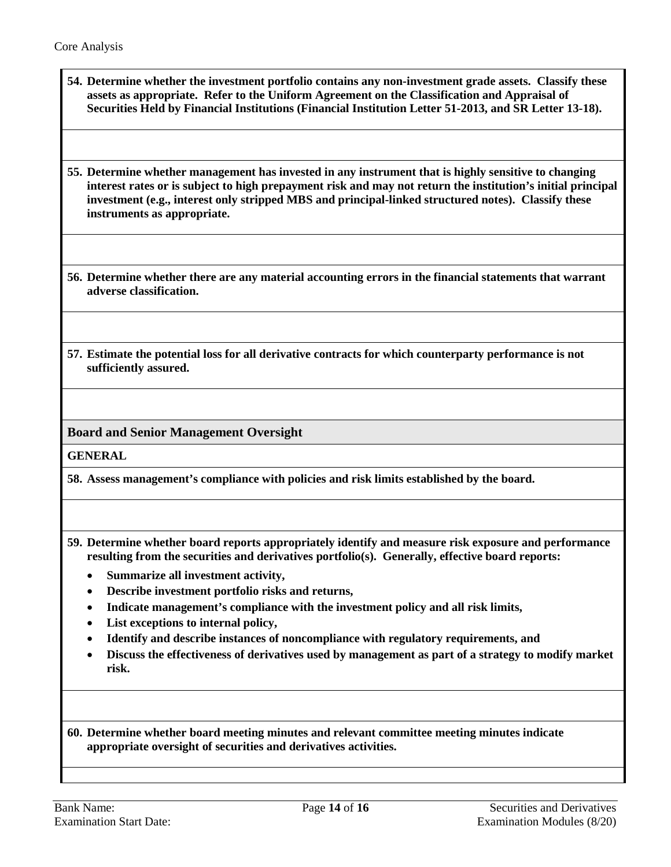**54. Determine whether the investment portfolio contains any non-investment grade assets. Classify these assets as appropriate. Refer to the Uniform Agreement on the Classification and Appraisal of Securities Held by Financial Institutions (Financial Institution Letter 51-2013, and SR Letter 13-18).**

<span id="page-13-1"></span>**55. Determine whether management has invested in any instrument that is highly sensitive to changing interest rates or is subject to high prepayment risk and may not return the institution's initial principal investment (e.g., interest only stripped MBS and principal-linked structured notes). Classify these instruments as appropriate.** 

**56. Determine whether there are any material accounting errors in the financial statements that warrant adverse classification.**

<span id="page-13-0"></span>**57. Estimate the potential loss for all derivative contracts for which counterparty performance is not sufficiently assured.** 

**Board and Senior Management Oversight** 

**GENERAL**

**58. Assess management's compliance with policies and risk limits established by the board.** 

- **59. Determine whether board reports appropriately identify and measure risk exposure and performance resulting from the securities and derivatives portfolio(s). Generally, effective board reports:** 
	- **Summarize all investment activity,**
	- **Describe investment portfolio risks and returns,**
	- **Indicate management's compliance with the investment policy and all risk limits,**
	- **List exceptions to internal policy,**
	- **Identify and describe instances of noncompliance with regulatory requirements, and**
	- **Discuss the effectiveness of derivatives used by management as part of a strategy to modify market risk.**

**60. Determine whether board meeting minutes and relevant committee meeting minutes indicate appropriate oversight of securities and derivatives activities.**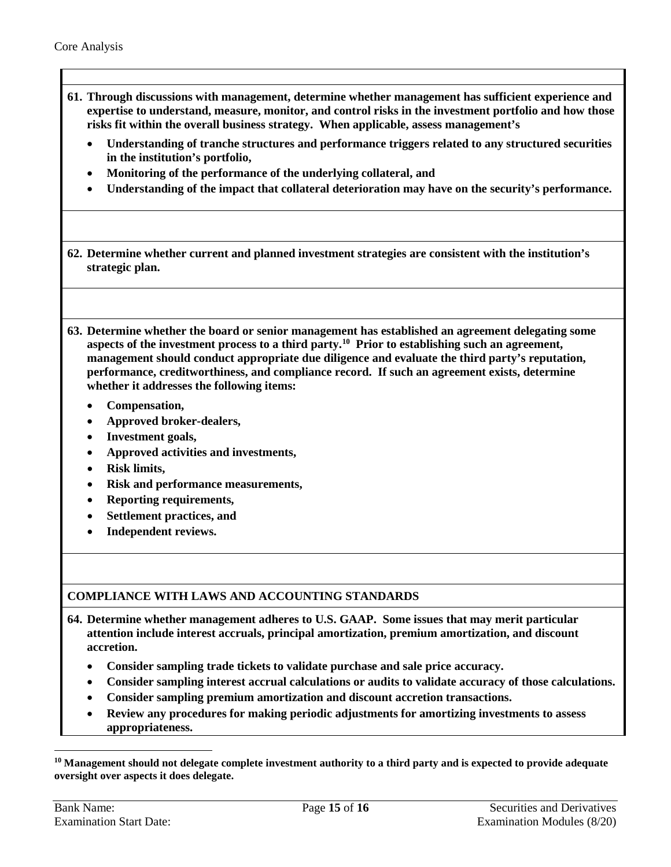- <span id="page-14-0"></span>**61. Through discussions with management, determine whether management has sufficient experience and expertise to understand, measure, monitor, and control risks in the investment portfolio and how those risks fit within the overall business strategy. When applicable, assess management's** 
	- **Understanding of tranche structures and performance triggers related to any structured securities in the institution's portfolio,**
	- **Monitoring of the performance of the underlying collateral, and**
	- **Understanding of the impact that collateral deterioration may have on the security's performance.**

**62. Determine whether current and planned investment strategies are consistent with the institution's strategic plan.**

**63. Determine whether the board or senior management has established an agreement delegating some aspects of the investment process to a third party[.10](#page-14-1) Prior to establishing such an agreement, management should conduct appropriate due diligence and evaluate the third party's reputation, performance, creditworthiness, and compliance record. If such an agreement exists, determine whether it addresses the following items:** 

- **Compensation,**
- **Approved broker-dealers,**
- **Investment goals,**
- **Approved activities and investments,**
- **Risk limits,**
- **Risk and performance measurements,**
- **Reporting requirements,**
- **Settlement practices, and**
- **Independent reviews.**

## **COMPLIANCE WITH LAWS AND ACCOUNTING STANDARDS**

- **64. Determine whether management adheres to U.S. GAAP. Some issues that may merit particular attention include interest accruals, principal amortization, premium amortization, and discount accretion.**
	- **Consider sampling trade tickets to validate purchase and sale price accuracy.**
	- **Consider sampling interest accrual calculations or audits to validate accuracy of those calculations.**
	- **Consider sampling premium amortization and discount accretion transactions.**
	- **Review any procedures for making periodic adjustments for amortizing investments to assess appropriateness.**

 $\overline{a}$ 

<span id="page-14-1"></span>**<sup>10</sup> Management should not delegate complete investment authority to a third party and is expected to provide adequate oversight over aspects it does delegate.**